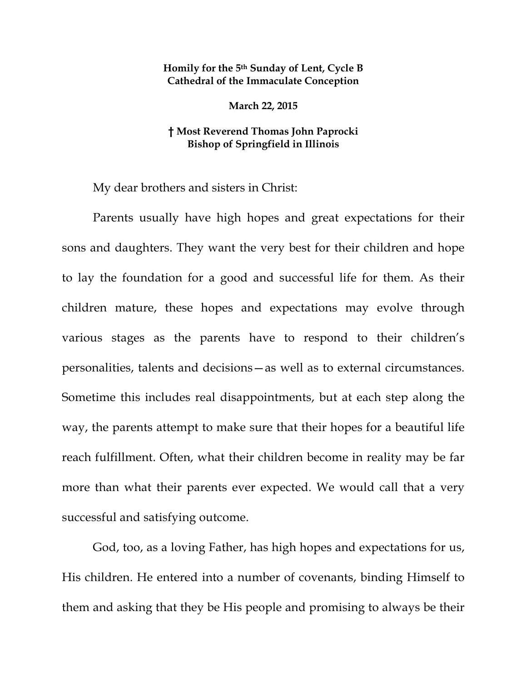## **Homily for the 5th Sunday of Lent, Cycle B Cathedral of the Immaculate Conception**

**March 22, 2015** 

## **† Most Reverend Thomas John Paprocki Bishop of Springfield in Illinois**

My dear brothers and sisters in Christ:

Parents usually have high hopes and great expectations for their sons and daughters. They want the very best for their children and hope to lay the foundation for a good and successful life for them. As their children mature, these hopes and expectations may evolve through various stages as the parents have to respond to their children's personalities, talents and decisions—as well as to external circumstances. Sometime this includes real disappointments, but at each step along the way, the parents attempt to make sure that their hopes for a beautiful life reach fulfillment. Often, what their children become in reality may be far more than what their parents ever expected. We would call that a very successful and satisfying outcome.

God, too, as a loving Father, has high hopes and expectations for us, His children. He entered into a number of covenants, binding Himself to them and asking that they be His people and promising to always be their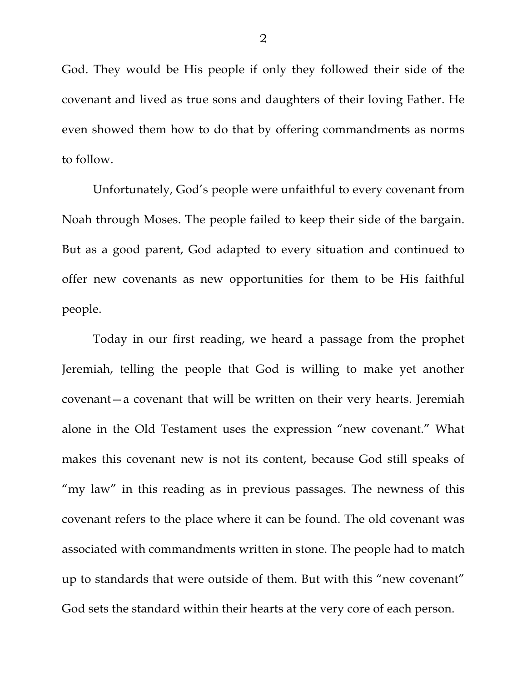God. They would be His people if only they followed their side of the covenant and lived as true sons and daughters of their loving Father. He even showed them how to do that by offering commandments as norms to follow.

Unfortunately, God's people were unfaithful to every covenant from Noah through Moses. The people failed to keep their side of the bargain. But as a good parent, God adapted to every situation and continued to offer new covenants as new opportunities for them to be His faithful people.

Today in our first reading, we heard a passage from the prophet Jeremiah, telling the people that God is willing to make yet another covenant—a covenant that will be written on their very hearts. Jeremiah alone in the Old Testament uses the expression "new covenant." What makes this covenant new is not its content, because God still speaks of "my law" in this reading as in previous passages. The newness of this covenant refers to the place where it can be found. The old covenant was associated with commandments written in stone. The people had to match up to standards that were outside of them. But with this "new covenant" God sets the standard within their hearts at the very core of each person.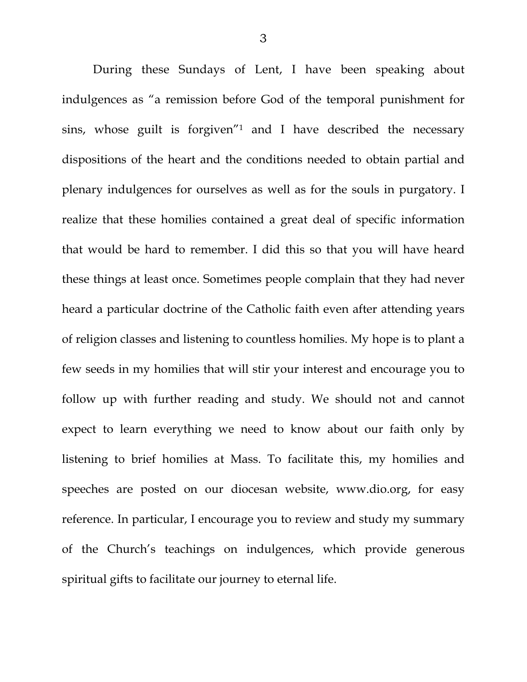During these Sundays of Lent, I have been speaking about indulgences as "a remission before God of the temporal punishment for sins, whose guilt is forgiven"1 and I have described the necessary dispositions of the heart and the conditions needed to obtain partial and plenary indulgences for ourselves as well as for the souls in purgatory. I realize that these homilies contained a great deal of specific information that would be hard to remember. I did this so that you will have heard these things at least once. Sometimes people complain that they had never heard a particular doctrine of the Catholic faith even after attending years of religion classes and listening to countless homilies. My hope is to plant a few seeds in my homilies that will stir your interest and encourage you to follow up with further reading and study. We should not and cannot expect to learn everything we need to know about our faith only by listening to brief homilies at Mass. To facilitate this, my homilies and speeches are posted on our diocesan website, www.dio.org, for easy reference. In particular, I encourage you to review and study my summary of the Church's teachings on indulgences, which provide generous spiritual gifts to facilitate our journey to eternal life.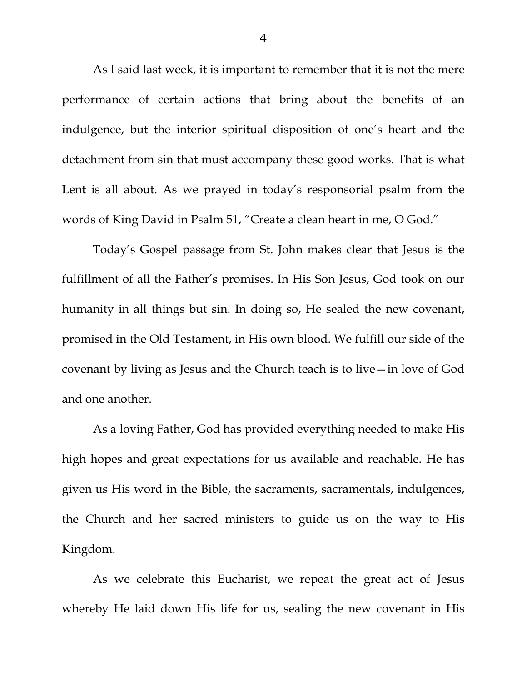As I said last week, it is important to remember that it is not the mere performance of certain actions that bring about the benefits of an indulgence, but the interior spiritual disposition of one's heart and the detachment from sin that must accompany these good works. That is what Lent is all about. As we prayed in today's responsorial psalm from the words of King David in Psalm 51, "Create a clean heart in me, O God."

Today's Gospel passage from St. John makes clear that Jesus is the fulfillment of all the Father's promises. In His Son Jesus, God took on our humanity in all things but sin. In doing so, He sealed the new covenant, promised in the Old Testament, in His own blood. We fulfill our side of the covenant by living as Jesus and the Church teach is to live—in love of God and one another.

As a loving Father, God has provided everything needed to make His high hopes and great expectations for us available and reachable. He has given us His word in the Bible, the sacraments, sacramentals, indulgences, the Church and her sacred ministers to guide us on the way to His Kingdom.

As we celebrate this Eucharist, we repeat the great act of Jesus whereby He laid down His life for us, sealing the new covenant in His

4